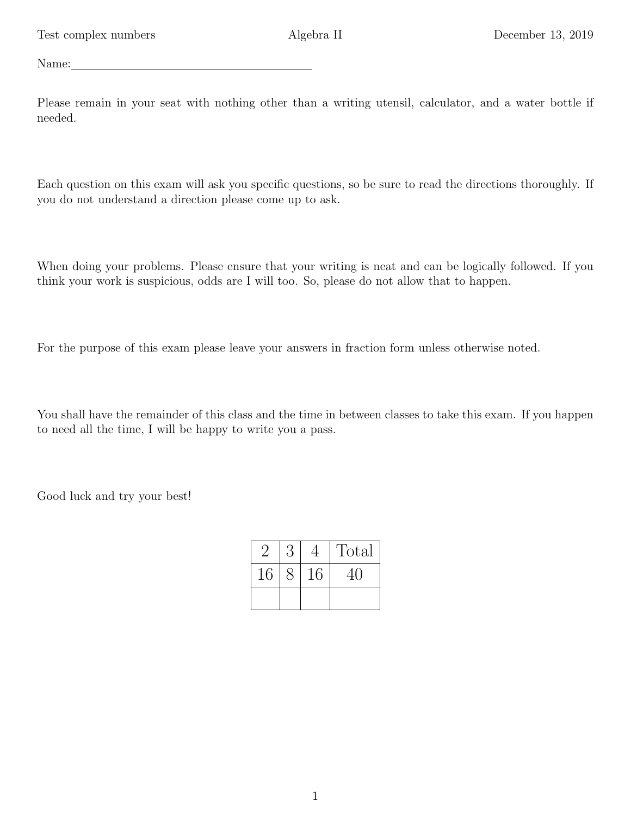Name:

Please remain in your seat with nothing other than a writing utensil, calculator, and a water bottle if needed.

Each question on this exam will ask you specific questions, so be sure to read the directions thoroughly. If you do not understand a direction please come up to ask.

When doing your problems. Please ensure that your writing is neat and can be logically followed. If you think your work is suspicious, odds are I will too. So, please do not allow that to happen.

For the purpose of this exam please leave your answers in fraction form unless otherwise noted.

You shall have the remainder of this class and the time in between classes to take this exam. If you happen to need all the time, I will be happy to write you a pass.

Good luck and try your best!

|    |    | Total |
|----|----|-------|
| 16 | 16 | 41    |
|    |    |       |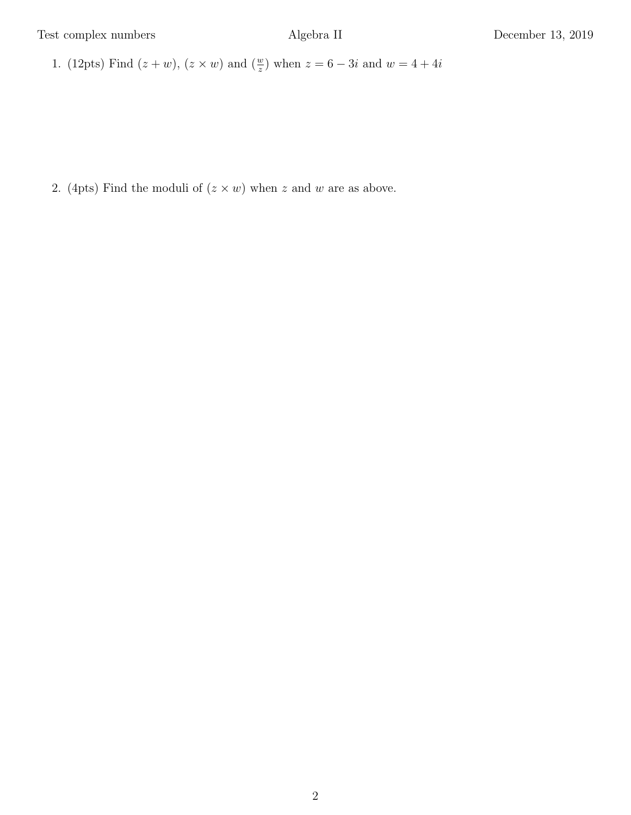Test complex numbers Algebra II December 13, 2019

1. (12pts) Find  $(z + w)$ ,  $(z \times w)$  and  $(\frac{w}{z})$  when  $z = 6 - 3i$  and  $w = 4 + 4i$ 

2. (4pts) Find the moduli of  $(z \times w)$  when z and w are as above.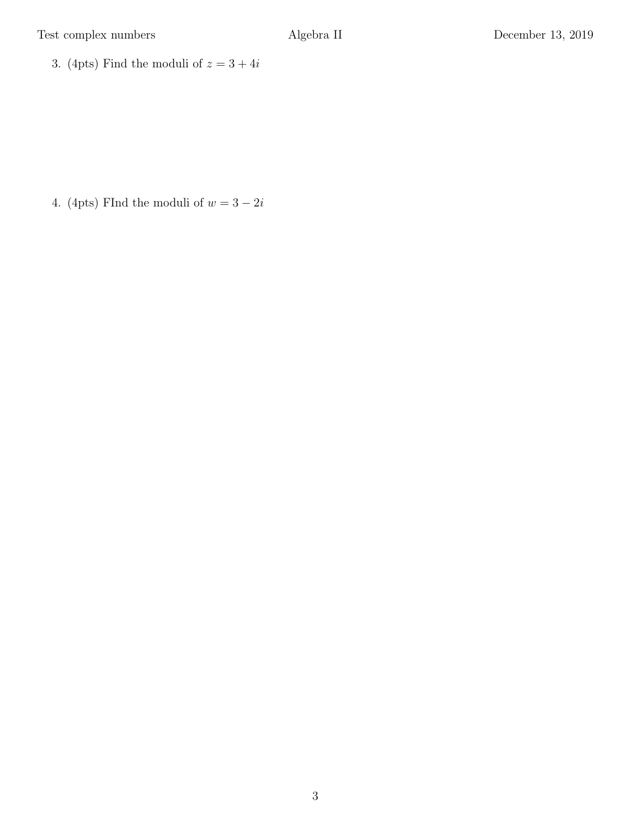3. (4pts) Find the moduli of  $z = 3 + 4i$ 

4. (4pts) FInd the moduli of  $w = 3 - 2i$